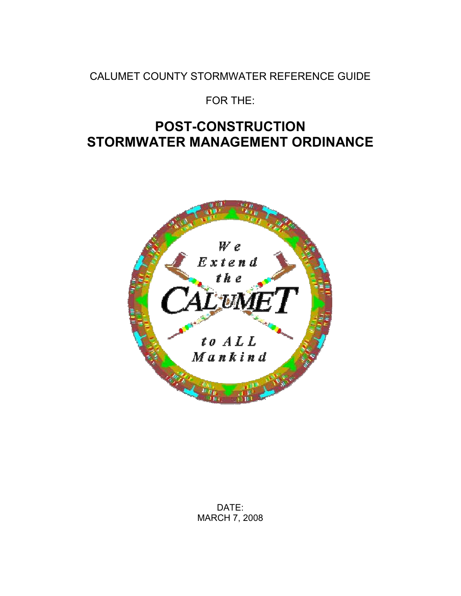CALUMET COUNTY STORMWATER REFERENCE GUIDE

FOR THE:

# **POST-CONSTRUCTION STORMWATER MANAGEMENT ORDINANCE**

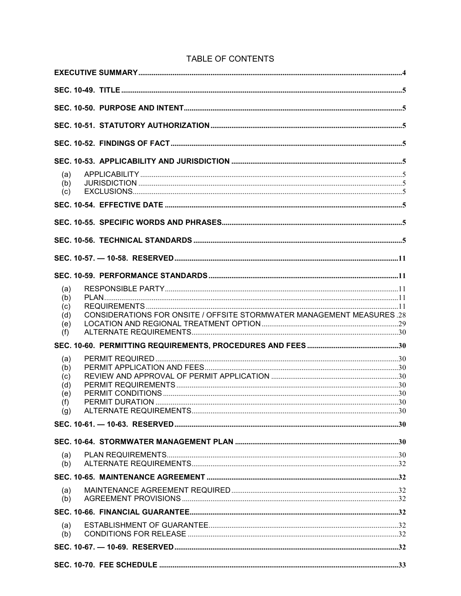| (a)<br>(b) |                                                                               |  |
|------------|-------------------------------------------------------------------------------|--|
| (c)        |                                                                               |  |
|            |                                                                               |  |
|            |                                                                               |  |
|            |                                                                               |  |
|            |                                                                               |  |
|            |                                                                               |  |
| (a)        |                                                                               |  |
| (b)        |                                                                               |  |
| (c)        |                                                                               |  |
| (d)        | <b>CONSIDERATIONS FOR ONSITE / OFFSITE STORMWATER MANAGEMENT MEASURES .28</b> |  |
| (e)        |                                                                               |  |
| (f)        |                                                                               |  |
|            |                                                                               |  |
| (a)        |                                                                               |  |
| (b)        |                                                                               |  |
| (c)        |                                                                               |  |
| (d)        |                                                                               |  |
| (e)        |                                                                               |  |
| (f)<br>(g) |                                                                               |  |
|            |                                                                               |  |
|            |                                                                               |  |
| (a)        |                                                                               |  |
| (b)        |                                                                               |  |
|            |                                                                               |  |
| (a)        |                                                                               |  |
| (b)        |                                                                               |  |
|            |                                                                               |  |
| (a)        |                                                                               |  |
| (b)        |                                                                               |  |
|            |                                                                               |  |
|            |                                                                               |  |

## TABLE OF CONTENTS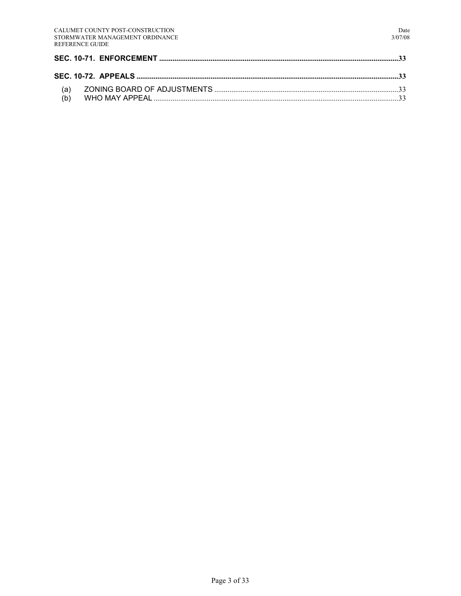| (a) |  |
|-----|--|
|     |  |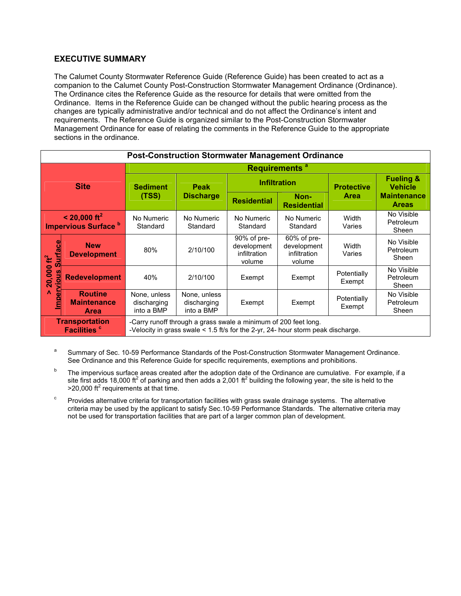## **EXECUTIVE SUMMARY**

The Calumet County Stormwater Reference Guide (Reference Guide) has been created to act as a companion to the Calumet County Post-Construction Stormwater Management Ordinance (Ordinance). The Ordinance cites the Reference Guide as the resource for details that were omitted from the Ordinance. Items in the Reference Guide can be changed without the public hearing process as the changes are typically administrative and/or technical and do not affect the Ordinance's intent and requirements. The Reference Guide is organized similar to the Post-Construction Stormwater Management Ordinance for ease of relating the comments in the Reference Guide to the appropriate sections in the ordinance.

| <b>Post-Construction Stormwater Management Ordinance</b>          |                                                     |                                                                                                                                                     |                                           |                                                         |                                                      |                       |                                        |  |
|-------------------------------------------------------------------|-----------------------------------------------------|-----------------------------------------------------------------------------------------------------------------------------------------------------|-------------------------------------------|---------------------------------------------------------|------------------------------------------------------|-----------------------|----------------------------------------|--|
|                                                                   |                                                     | Requirements <sup>a</sup>                                                                                                                           |                                           |                                                         |                                                      |                       |                                        |  |
| <b>Site</b>                                                       |                                                     | <b>Sediment</b><br>(TSS)                                                                                                                            | <b>Peak</b><br><b>Discharge</b>           | <b>Infiltration</b>                                     |                                                      | <b>Protective</b>     | <b>Fueling &amp;</b><br><b>Vehicle</b> |  |
|                                                                   |                                                     |                                                                                                                                                     |                                           | <b>Residential</b>                                      | Non-<br><b>Residential</b>                           | <b>Area</b>           | <b>Maintenance</b><br><b>Areas</b>     |  |
| $< 20,000 \text{ ft}^2$<br><b>Impervious Surface</b>              |                                                     | No Numeric<br>Standard                                                                                                                              | No Numeric<br>Standard                    | No Numeric<br>Standard                                  | No Numeric<br>Standard                               | Width<br>Varies       | No Visible<br>Petroleum<br>Sheen       |  |
| <b>Surfac</b><br>$20,000 \text{ ft}^2$<br>vious<br>Λ<br>$\bullet$ | <b>New</b><br><b>Development</b>                    | 80%                                                                                                                                                 | 2/10/100                                  | $90\%$ of pre-<br>development<br>infiltration<br>volume | 60% of pre-<br>development<br>infiltration<br>volume | Width<br>Varies       | No Visible<br>Petroleum<br>Sheen       |  |
|                                                                   | <b>Redevelopment</b>                                | 40%                                                                                                                                                 | 2/10/100                                  | Exempt                                                  | Exempt                                               | Potentially<br>Exempt | No Visible<br>Petroleum<br>Sheen       |  |
|                                                                   | <b>Routine</b><br><b>Maintenance</b><br><b>Area</b> | None, unless<br>discharging<br>into a BMP                                                                                                           | None, unless<br>discharging<br>into a BMP | Exempt                                                  | Exempt                                               | Potentially<br>Exempt | No Visible<br>Petroleum<br>Sheen       |  |
| <b>Transportation</b><br><b>Facilities</b> <sup>c</sup>           |                                                     | -Carry runoff through a grass swale a minimum of 200 feet long.<br>-Velocity in grass swale < 1.5 ft/s for the 2-yr, 24- hour storm peak discharge. |                                           |                                                         |                                                      |                       |                                        |  |

a Summary of Sec. 10-59 Performance Standards of the Post-Construction Stormwater Management Ordinance. See Ordinance and this Reference Guide for specific requirements, exemptions and prohibitions.

- b The impervious surface areas created after the adoption date of the Ordinance are cumulative. For example, if a site first adds 18,000 ft<sup>2</sup> of parking and then adds a 2,001 ft<sup>2</sup> building the following year, the site is held to the  $>$ 20,000 ft<sup>2</sup> requirements at that time.
- c Provides alternative criteria for transportation facilities with grass swale drainage systems. The alternative criteria may be used by the applicant to satisfy Sec.10-59 Performance Standards. The alternative criteria may not be used for transportation facilities that are part of a larger common plan of development.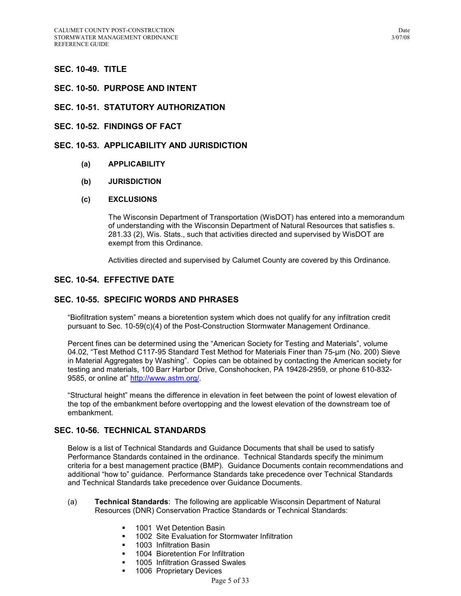## **SEC. 10-49. TITLE**

- **SEC. 10-50. PURPOSE AND INTENT**
- **SEC. 10-51. STATUTORY AUTHORIZATION**
- **SEC. 10-52. FINDINGS OF FACT**

## **SEC. 10-53. APPLICABILITY AND JURISDICTION**

- **(a) APPLICABILITY**
- **(b) JURISDICTION**

#### **(c) EXCLUSIONS**

The Wisconsin Department of Transportation (WisDOT) has entered into a memorandum of understanding with the Wisconsin Department of Natural Resources that satisfies s. 281.33 (2), Wis. Stats., such that activities directed and supervised by WisDOT are exempt from this Ordinance.

Activities directed and supervised by Calumet County are covered by this Ordinance*.*

## **SEC. 10-54. EFFECTIVE DATE**

#### **SEC. 10-55. SPECIFIC WORDS AND PHRASES**

"Biofiltration system" means a bioretention system which does not qualify for any infiltration credit pursuant to Sec. 10-59(c)(4) of the Post-Construction Stormwater Management Ordinance.

Percent fines can be determined using the "American Society for Testing and Materials", volume 04.02, "Test Method C117-95 Standard Test Method for Materials Finer than 75-µm (No. 200) Sieve in Material Aggregates by Washing". Copies can be obtained by contacting the American society for testing and materials, 100 Barr Harbor Drive, Conshohocken, PA 19428-2959, or phone 610-832- 9585, or online at" http://www.astm.org/.

"Structural height" means the difference in elevation in feet between the point of lowest elevation of the top of the embankment before overtopping and the lowest elevation of the downstream toe of embankment.

## **SEC. 10-56. TECHNICAL STANDARDS**

Below is a list of Technical Standards and Guidance Documents that shall be used to satisfy Performance Standards contained in the ordinance. Technical Standards specify the minimum criteria for a best management practice (BMP). Guidance Documents contain recommendations and additional "how to" guidance. Performance Standards take precedence over Technical Standards and Technical Standards take precedence over Guidance Documents.

- (a) **Technical Standards**: The following are applicable Wisconsin Department of Natural Resources (DNR) Conservation Practice Standards or Technical Standards:
	- **1001 Wet Detention Basin**
	- **1002** Site Evaluation for Stormwater Infiltration
	- 1003 Infiltration Basin
	- **1004 Bioretention For Infiltration**
	- 1005 Infiltration Grassed Swales
	- 1006 Proprietary Devices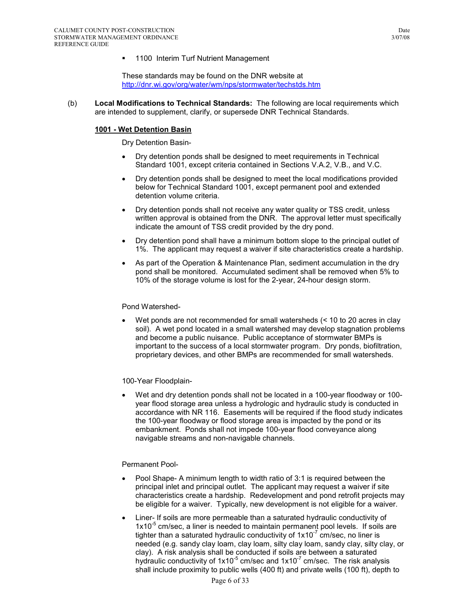**1100 Interim Turf Nutrient Management** 

These standards may be found on the DNR website at http://dnr.wi.gov/org/water/wm/nps/stormwater/techstds.htm

(b) **Local Modifications to Technical Standards:** The following are local requirements which are intended to supplement, clarify, or supersede DNR Technical Standards.

#### **1001 - Wet Detention Basin**

Dry Detention Basin-

- Dry detention ponds shall be designed to meet requirements in Technical Standard 1001, except criteria contained in Sections V.A.2, V.B., and V.C.
- Dry detention ponds shall be designed to meet the local modifications provided below for Technical Standard 1001, except permanent pool and extended detention volume criteria.
- Dry detention ponds shall not receive any water quality or TSS credit, unless written approval is obtained from the DNR. The approval letter must specifically indicate the amount of TSS credit provided by the dry pond.
- Dry detention pond shall have a minimum bottom slope to the principal outlet of 1%. The applicant may request a waiver if site characteristics create a hardship.
- As part of the Operation & Maintenance Plan, sediment accumulation in the dry pond shall be monitored. Accumulated sediment shall be removed when 5% to 10% of the storage volume is lost for the 2-year, 24-hour design storm.

#### Pond Watershed-

• Wet ponds are not recommended for small watersheds (< 10 to 20 acres in clay soil). A wet pond located in a small watershed may develop stagnation problems and become a public nuisance. Public acceptance of stormwater BMPs is important to the success of a local stormwater program. Dry ponds, biofiltration, proprietary devices, and other BMPs are recommended for small watersheds.

#### 100-Year Floodplain-

• Wet and dry detention ponds shall not be located in a 100-year floodway or 100 year flood storage area unless a hydrologic and hydraulic study is conducted in accordance with NR 116. Easements will be required if the flood study indicates the 100-year floodway or flood storage area is impacted by the pond or its embankment. Ponds shall not impede 100-year flood conveyance along navigable streams and non-navigable channels.

#### Permanent Pool-

- Pool Shape- A minimum length to width ratio of 3:1 is required between the principal inlet and principal outlet. The applicant may request a waiver if site characteristics create a hardship. Redevelopment and pond retrofit projects may be eligible for a waiver. Typically, new development is not eligible for a waiver.
- Liner- If soils are more permeable than a saturated hydraulic conductivity of  $1x10^{-5}$  cm/sec, a liner is needed to maintain permanent pool levels. If soils are tighter than a saturated hydraulic conductivity of  $1x10<sup>-7</sup>$  cm/sec, no liner is needed (e.g. sandy clay loam, clay loam, silty clay loam, sandy clay, silty clay, or clay). A risk analysis shall be conducted if soils are between a saturated hydraulic conductivity of  $1x10^{-5}$  cm/sec and  $1x10^{-7}$  cm/sec. The risk analysis shall include proximity to public wells (400 ft) and private wells (100 ft), depth to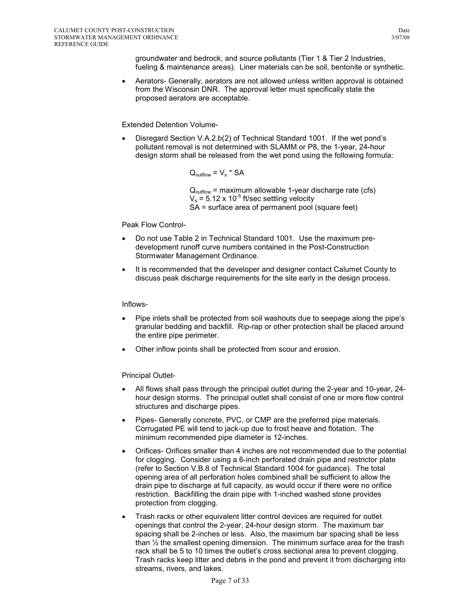groundwater and bedrock, and source pollutants (Tier 1 & Tier 2 Industries, fueling & maintenance areas). Liner materials can be soil, bentonite or synthetic.

• Aerators- Generally, aerators are not allowed unless written approval is obtained from the Wisconsin DNR. The approval letter must specifically state the proposed aerators are acceptable.

#### Extended Detention Volume-

• Disregard Section V.A.2.b(2) of Technical Standard 1001. If the wet pond's pollutant removal is not determined with SLAMM or P8, the 1-year, 24-hour design storm shall be released from the wet pond using the following formula:

 $Q_{\text{outflow}} = V_s * SA$ 

 $Q_{\text{outflow}}$  = maximum allowable 1-year discharge rate (cfs)  $V_s$  = 5.12 x 10<sup>-5</sup> ft/sec settling velocity SA = surface area of permanent pool (square feet)

## Peak Flow Control-

- Do not use Table 2 in Technical Standard 1001. Use the maximum predevelopment runoff curve numbers contained in the Post-Construction Stormwater Management Ordinance.
- It is recommended that the developer and designer contact Calumet County to discuss peak discharge requirements for the site early in the design process.

## Inflows-

- Pipe inlets shall be protected from soil washouts due to seepage along the pipe's granular bedding and backfill. Rip-rap or other protection shall be placed around the entire pipe perimeter.
- Other inflow points shall be protected from scour and erosion.

## Principal Outlet-

- All flows shall pass through the principal outlet during the 2-year and 10-year, 24 hour design storms. The principal outlet shall consist of one or more flow control structures and discharge pipes.
- Pipes- Generally concrete, PVC, or CMP are the preferred pipe materials. Corrugated PE will tend to jack-up due to frost heave and flotation. The minimum recommended pipe diameter is 12-inches.
- Orifices- Orifices smaller than 4 inches are not recommended due to the potential for clogging. Consider using a 6-inch perforated drain pipe and restrictor plate (refer to Section V.B.8 of Technical Standard 1004 for guidance). The total opening area of all perforation holes combined shall be sufficient to allow the drain pipe to discharge at full capacity, as would occur if there were no orifice restriction. Backfilling the drain pipe with 1-inched washed stone provides protection from clogging.
- Trash racks or other equivalent litter control devices are required for outlet openings that control the 2-year, 24-hour design storm. The maximum bar spacing shall be 2-inches or less. Also, the maximum bar spacing shall be less than ½ the smallest opening dimension. The minimum surface area for the trash rack shall be 5 to 10 times the outlet's cross sectional area to prevent clogging. Trash racks keep litter and debris in the pond and prevent it from discharging into streams, rivers, and lakes.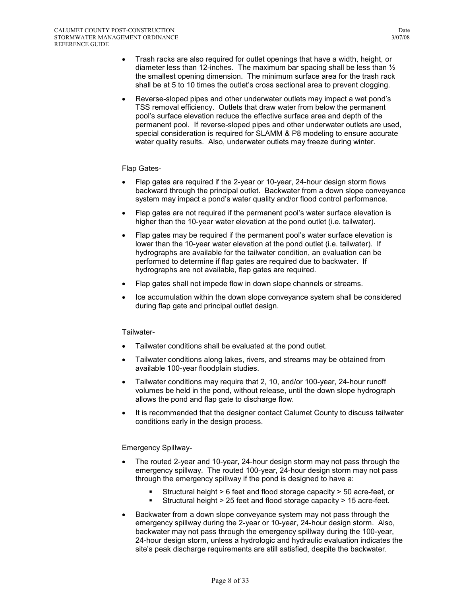- Trash racks are also required for outlet openings that have a width, height, or diameter less than 12-inches. The maximum bar spacing shall be less than  $\frac{1}{2}$ the smallest opening dimension. The minimum surface area for the trash rack shall be at 5 to 10 times the outlet's cross sectional area to prevent clogging.
- Reverse-sloped pipes and other underwater outlets may impact a wet pond's TSS removal efficiency. Outlets that draw water from below the permanent pool's surface elevation reduce the effective surface area and depth of the permanent pool. If reverse-sloped pipes and other underwater outlets are used, special consideration is required for SLAMM & P8 modeling to ensure accurate water quality results. Also, underwater outlets may freeze during winter.

#### Flap Gates-

- Flap gates are required if the 2-year or 10-year, 24-hour design storm flows backward through the principal outlet. Backwater from a down slope conveyance system may impact a pond's water quality and/or flood control performance.
- Flap gates are not required if the permanent pool's water surface elevation is higher than the 10-year water elevation at the pond outlet (i.e. tailwater).
- Flap gates may be required if the permanent pool's water surface elevation is lower than the 10-year water elevation at the pond outlet (i.e. tailwater). If hydrographs are available for the tailwater condition, an evaluation can be performed to determine if flap gates are required due to backwater. If hydrographs are not available, flap gates are required.
- Flap gates shall not impede flow in down slope channels or streams.
- Ice accumulation within the down slope conveyance system shall be considered during flap gate and principal outlet design.

Tailwater-

- Tailwater conditions shall be evaluated at the pond outlet.
- Tailwater conditions along lakes, rivers, and streams may be obtained from available 100-year floodplain studies.
- Tailwater conditions may require that 2, 10, and/or 100-year, 24-hour runoff volumes be held in the pond, without release, until the down slope hydrograph allows the pond and flap gate to discharge flow.
- It is recommended that the designer contact Calumet County to discuss tailwater conditions early in the design process.

#### Emergency Spillway-

- The routed 2-year and 10-year, 24-hour design storm may not pass through the emergency spillway. The routed 100-year, 24-hour design storm may not pass through the emergency spillway if the pond is designed to have a:
	- Structural height > 6 feet and flood storage capacity > 50 acre-feet, or
	- Structural height > 25 feet and flood storage capacity > 15 acre-feet.
- Backwater from a down slope conveyance system may not pass through the emergency spillway during the 2-year or 10-year, 24-hour design storm. Also, backwater may not pass through the emergency spillway during the 100-year, 24-hour design storm, unless a hydrologic and hydraulic evaluation indicates the site's peak discharge requirements are still satisfied, despite the backwater.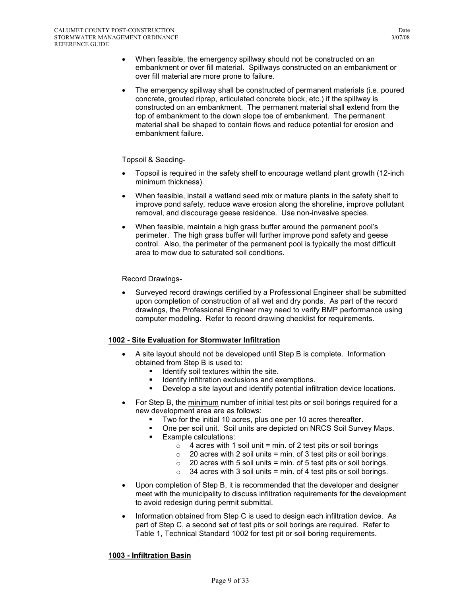- When feasible, the emergency spillway should not be constructed on an embankment or over fill material. Spillways constructed on an embankment or over fill material are more prone to failure.
- The emergency spillway shall be constructed of permanent materials (i.e. poured concrete, grouted riprap, articulated concrete block, etc.) if the spillway is constructed on an embankment. The permanent material shall extend from the top of embankment to the down slope toe of embankment. The permanent material shall be shaped to contain flows and reduce potential for erosion and embankment failure.

## Topsoil & Seeding-

- Topsoil is required in the safety shelf to encourage wetland plant growth (12-inch minimum thickness).
- When feasible, install a wetland seed mix or mature plants in the safety shelf to improve pond safety, reduce wave erosion along the shoreline, improve pollutant removal, and discourage geese residence. Use non-invasive species.
- When feasible, maintain a high grass buffer around the permanent pool's perimeter. The high grass buffer will further improve pond safety and geese control. Also, the perimeter of the permanent pool is typically the most difficult area to mow due to saturated soil conditions.

## Record Drawings-

• Surveyed record drawings certified by a Professional Engineer shall be submitted upon completion of construction of all wet and dry ponds. As part of the record drawings, the Professional Engineer may need to verify BMP performance using computer modeling. Refer to record drawing checklist for requirements.

#### **1002 - Site Evaluation for Stormwater Infiltration**

- A site layout should not be developed until Step B is complete. Information obtained from Step B is used to:
	- $\blacksquare$  Identify soil textures within the site.
	- Identify infiltration exclusions and exemptions.
	- Develop a site layout and identify potential infiltration device locations.
- For Step B, the minimum number of initial test pits or soil borings required for a new development area are as follows:
	- Two for the initial 10 acres, plus one per 10 acres thereafter.
	- One per soil unit. Soil units are depicted on NRCS Soil Survey Maps.
	- **Example calculations:** 
		- $\circ$  4 acres with 1 soil unit = min. of 2 test pits or soil borings
		- $\circ$  20 acres with 2 soil units = min. of 3 test pits or soil borings.
		- $\circ$  20 acres with 5 soil units = min. of 5 test pits or soil borings.
		- $\circ$  34 acres with 3 soil units = min. of 4 test pits or soil borings.
- Upon completion of Step B, it is recommended that the developer and designer meet with the municipality to discuss infiltration requirements for the development to avoid redesign during permit submittal.
- Information obtained from Step C is used to design each infiltration device. As part of Step C, a second set of test pits or soil borings are required. Refer to Table 1, Technical Standard 1002 for test pit or soil boring requirements.

## **1003 - Infiltration Basin**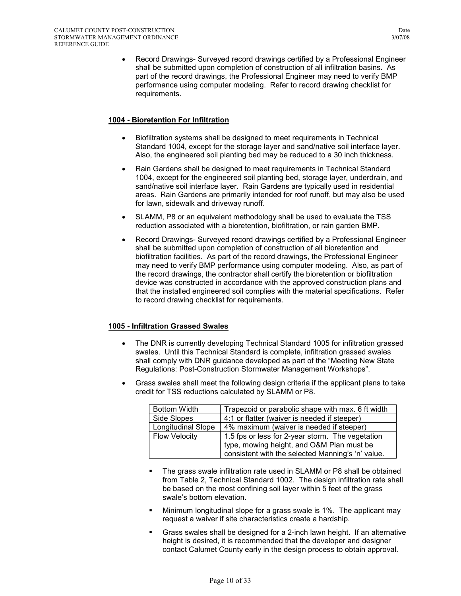• Record Drawings- Surveyed record drawings certified by a Professional Engineer shall be submitted upon completion of construction of all infiltration basins. As part of the record drawings, the Professional Engineer may need to verify BMP performance using computer modeling. Refer to record drawing checklist for requirements.

## **1004 - Bioretention For Infiltration**

- Biofiltration systems shall be designed to meet requirements in Technical Standard 1004, except for the storage layer and sand/native soil interface layer. Also, the engineered soil planting bed may be reduced to a 30 inch thickness.
- Rain Gardens shall be designed to meet requirements in Technical Standard 1004, except for the engineered soil planting bed, storage layer, underdrain, and sand/native soil interface layer. Rain Gardens are typically used in residential areas. Rain Gardens are primarily intended for roof runoff, but may also be used for lawn, sidewalk and driveway runoff.
- SLAMM, P8 or an equivalent methodology shall be used to evaluate the TSS reduction associated with a bioretention, biofiltration, or rain garden BMP.
- Record Drawings- Surveyed record drawings certified by a Professional Engineer shall be submitted upon completion of construction of all bioretention and biofiltration facilities. As part of the record drawings, the Professional Engineer may need to verify BMP performance using computer modeling. Also, as part of the record drawings, the contractor shall certify the bioretention or biofiltration device was constructed in accordance with the approved construction plans and that the installed engineered soil complies with the material specifications. Refer to record drawing checklist for requirements.

## **1005 - Infiltration Grassed Swales**

- The DNR is currently developing Technical Standard 1005 for infiltration grassed swales. Until this Technical Standard is complete, infiltration grassed swales shall comply with DNR guidance developed as part of the "Meeting New State Regulations: Post-Construction Stormwater Management Workshops".
- Grass swales shall meet the following design criteria if the applicant plans to take credit for TSS reductions calculated by SLAMM or P8.

| <b>Bottom Width</b>                                                      | Trapezoid or parabolic shape with max. 6 ft width |  |  |
|--------------------------------------------------------------------------|---------------------------------------------------|--|--|
| Side Slopes                                                              | 4:1 or flatter (waiver is needed if steeper)      |  |  |
| <b>Longitudinal Slope</b>                                                | 4% maximum (waiver is needed if steeper)          |  |  |
| <b>Flow Velocity</b><br>1.5 fps or less for 2-year storm. The vegetation |                                                   |  |  |
|                                                                          | type, mowing height, and O&M Plan must be         |  |  |
|                                                                          | consistent with the selected Manning's 'n' value. |  |  |

- The grass swale infiltration rate used in SLAMM or P8 shall be obtained from Table 2, Technical Standard 1002. The design infiltration rate shall be based on the most confining soil layer within 5 feet of the grass swale's bottom elevation.
- Minimum longitudinal slope for a grass swale is 1%. The applicant may request a waiver if site characteristics create a hardship.
- Grass swales shall be designed for a 2-inch lawn height. If an alternative height is desired, it is recommended that the developer and designer contact Calumet County early in the design process to obtain approval.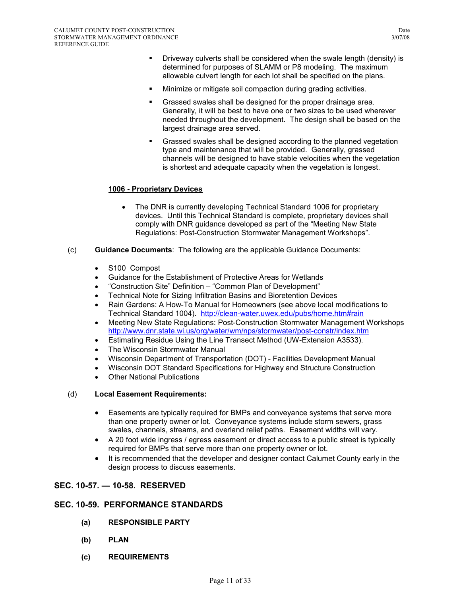- **•** Driveway culverts shall be considered when the swale length (density) is determined for purposes of SLAMM or P8 modeling. The maximum allowable culvert length for each lot shall be specified on the plans.
- Minimize or mitigate soil compaction during grading activities.
- Grassed swales shall be designed for the proper drainage area. Generally, it will be best to have one or two sizes to be used wherever needed throughout the development. The design shall be based on the largest drainage area served.
- Grassed swales shall be designed according to the planned vegetation type and maintenance that will be provided. Generally, grassed channels will be designed to have stable velocities when the vegetation is shortest and adequate capacity when the vegetation is longest.

## **1006 - Proprietary Devices**

- The DNR is currently developing Technical Standard 1006 for proprietary devices. Until this Technical Standard is complete, proprietary devices shall comply with DNR guidance developed as part of the "Meeting New State Regulations: Post-Construction Stormwater Management Workshops".
- (c) **Guidance Documents**: The following are the applicable Guidance Documents:
	- S100 Compost
	- Guidance for the Establishment of Protective Areas for Wetlands
	- "Construction Site" Definition "Common Plan of Development"
	- Technical Note for Sizing Infiltration Basins and Bioretention Devices
	- Rain Gardens: A How-To Manual for Homeowners (see above local modifications to Technical Standard 1004). http://clean-water.uwex.edu/pubs/home.htm#rain
	- Meeting New State Regulations: Post-Construction Stormwater Management Workshops http://www.dnr.state.wi.us/org/water/wm/nps/stormwater/post-constr/index.htm
	- Estimating Residue Using the Line Transect Method (UW-Extension A3533).
	- The Wisconsin Stormwater Manual
	- Wisconsin Department of Transportation (DOT) Facilities Development Manual
	- Wisconsin DOT Standard Specifications for Highway and Structure Construction
	- **Other National Publications**

#### (d) **Local Easement Requirements:**

- Easements are typically required for BMPs and conveyance systems that serve more than one property owner or lot. Conveyance systems include storm sewers, grass swales, channels, streams, and overland relief paths. Easement widths will vary.
- A 20 foot wide ingress / egress easement or direct access to a public street is typically required for BMPs that serve more than one property owner or lot.
- It is recommended that the developer and designer contact Calumet County early in the design process to discuss easements.

## **SEC. 10-57. — 10-58. RESERVED**

## **SEC. 10-59. PERFORMANCE STANDARDS**

- **(a) RESPONSIBLE PARTY**
- **(b) PLAN**
- **(c) REQUIREMENTS**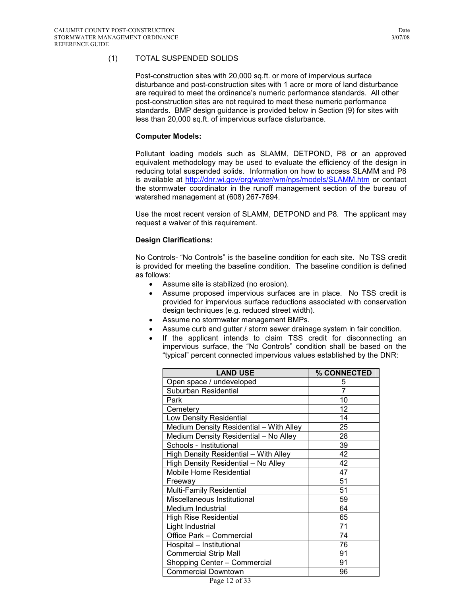## (1) TOTAL SUSPENDED SOLIDS

Post-construction sites with 20,000 sq.ft. or more of impervious surface disturbance and post-construction sites with 1 acre or more of land disturbance are required to meet the ordinance's numeric performance standards. All other post-construction sites are not required to meet these numeric performance standards. BMP design guidance is provided below in Section (9) for sites with less than 20,000 sq.ft. of impervious surface disturbance.

#### **Computer Models:**

Pollutant loading models such as SLAMM, DETPOND, P8 or an approved equivalent methodology may be used to evaluate the efficiency of the design in reducing total suspended solids. Information on how to access SLAMM and P8 is available at http://dnr.wi.gov/org/water/wm/nps/models/SLAMM.htm or contact the stormwater coordinator in the runoff management section of the bureau of watershed management at (608) 267-7694.

Use the most recent version of SLAMM, DETPOND and P8. The applicant may request a waiver of this requirement.

## **Design Clarifications:**

No Controls- "No Controls" is the baseline condition for each site. No TSS credit is provided for meeting the baseline condition. The baseline condition is defined as follows:

- Assume site is stabilized (no erosion).
- Assume proposed impervious surfaces are in place. No TSS credit is provided for impervious surface reductions associated with conservation design techniques (e.g. reduced street width).
- Assume no stormwater management BMPs.
- Assume curb and gutter / storm sewer drainage system in fair condition.
- If the applicant intends to claim TSS credit for disconnecting an impervious surface, the "No Controls" condition shall be based on the "typical" percent connected impervious values established by the DNR:

| <b>LAND USE</b>                         | % CONNECTED |
|-----------------------------------------|-------------|
| Open space / undeveloped                | 5           |
| Suburban Residential                    | 7           |
| Park                                    | 10          |
| Cemetery                                | 12          |
| <b>Low Density Residential</b>          | 14          |
| Medium Density Residential - With Alley | 25          |
| Medium Density Residential - No Alley   | 28          |
| Schools - Institutional                 | 39          |
| High Density Residential - With Alley   | 42          |
| High Density Residential - No Alley     | 42          |
| Mobile Home Residential                 | 47          |
| Freeway                                 | 51          |
| Multi-Family Residential                | 51          |
| Miscellaneous Institutional             | 59          |
| Medium Industrial                       | 64          |
| <b>High Rise Residential</b>            | 65          |
| Light Industrial                        | 71          |
| Office Park - Commercial                | 74          |
| Hospital - Institutional                | 76          |
| <b>Commercial Strip Mall</b>            | 91          |
| Shopping Center - Commercial            | 91          |
| <b>Commercial Downtown</b>              | 96          |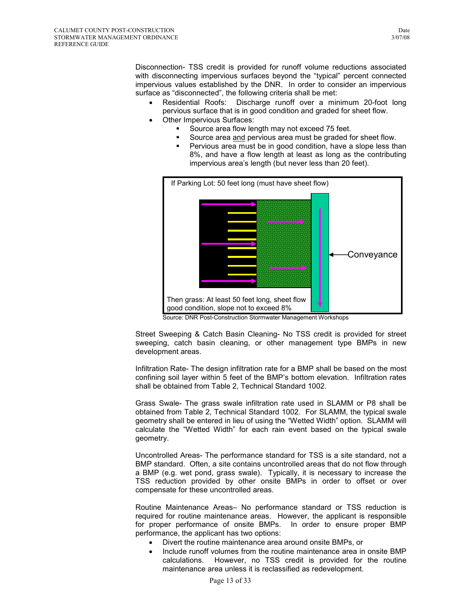Disconnection- TSS credit is provided for runoff volume reductions associated with disconnecting impervious surfaces beyond the "typical" percent connected impervious values established by the DNR. In order to consider an impervious surface as "disconnected", the following criteria shall be met:

- Residential Roofs: Discharge runoff over a minimum 20-foot long pervious surface that is in good condition and graded for sheet flow.
- Other Impervious Surfaces:
	- Source area flow length may not exceed 75 feet.
	- Source area and pervious area must be graded for sheet flow.
	- Pervious area must be in good condition, have a slope less than 8%, and have a flow length at least as long as the contributing impervious area's length (but never less than 20 feet).



Source: DNR Post-Construction Stormwater Management Workshops

Street Sweeping & Catch Basin Cleaning- No TSS credit is provided for street sweeping, catch basin cleaning, or other management type BMPs in new development areas.

Infiltration Rate- The design infiltration rate for a BMP shall be based on the most confining soil layer within 5 feet of the BMP's bottom elevation. Infiltration rates shall be obtained from Table 2, Technical Standard 1002.

Grass Swale- The grass swale infiltration rate used in SLAMM or P8 shall be obtained from Table 2, Technical Standard 1002. For SLAMM, the typical swale geometry shall be entered in lieu of using the "Wetted Width" option. SLAMM will calculate the "Wetted Width" for each rain event based on the typical swale geometry.

Uncontrolled Areas- The performance standard for TSS is a site standard, not a BMP standard. Often, a site contains uncontrolled areas that do not flow through a BMP (e.g. wet pond, grass swale). Typically, it is necessary to increase the TSS reduction provided by other onsite BMPs in order to offset or over compensate for these uncontrolled areas.

Routine Maintenance Areas– No performance standard or TSS reduction is required for routine maintenance areas. However, the applicant is responsible for proper performance of onsite BMPs. In order to ensure proper BMP performance, the applicant has two options:

- Divert the routine maintenance area around onsite BMPs, or
- Include runoff volumes from the routine maintenance area in onsite BMP calculations. However, no TSS credit is provided for the routine maintenance area unless it is reclassified as redevelopment.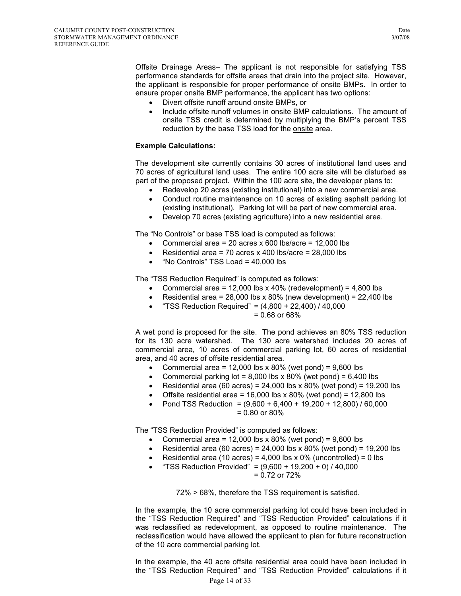Offsite Drainage Areas– The applicant is not responsible for satisfying TSS performance standards for offsite areas that drain into the project site. However, the applicant is responsible for proper performance of onsite BMPs. In order to ensure proper onsite BMP performance, the applicant has two options:

- Divert offsite runoff around onsite BMPs, or
- Include offsite runoff volumes in onsite BMP calculations. The amount of onsite TSS credit is determined by multiplying the BMP's percent TSS reduction by the base TSS load for the onsite area.

#### **Example Calculations:**

The development site currently contains 30 acres of institutional land uses and 70 acres of agricultural land uses. The entire 100 acre site will be disturbed as part of the proposed project. Within the 100 acre site, the developer plans to:

- Redevelop 20 acres (existing institutional) into a new commercial area.
- Conduct routine maintenance on 10 acres of existing asphalt parking lot (existing institutional). Parking lot will be part of new commercial area.
- Develop 70 acres (existing agriculture) into a new residential area.

The "No Controls" or base TSS load is computed as follows:

- Commercial area = 20 acres  $x$  600 lbs/acre = 12,000 lbs
- Residential area = 70 acres x 400 lbs/acre =  $28,000$  lbs
- "No Controls" TSS Load = 40,000 lbs

The "TSS Reduction Required" is computed as follows:

- Commercial area = 12,000 lbs x 40% (redevelopment) =  $4,800$  lbs
- Residential area =  $28,000$  lbs x  $80\%$  (new development) =  $22,400$  lbs
- "TSS Reduction Required" =  $(4,800 + 22,400)$  / 40,000

= 0.68 or 68%

A wet pond is proposed for the site. The pond achieves an 80% TSS reduction for its 130 acre watershed. The 130 acre watershed includes 20 acres of commercial area, 10 acres of commercial parking lot, 60 acres of residential area, and 40 acres of offsite residential area.

- Commercial area =  $12,000$  lbs x 80% (wet pond) =  $9,600$  lbs
- Commercial parking lot =  $8,000$  lbs x 80% (wet pond) =  $6,400$  lbs
- Residential area (60 acres) =  $24,000$  lbs x 80% (wet pond) = 19,200 lbs
- Offsite residential area =  $16,000$  lbs x 80% (wet pond) =  $12,800$  lbs
- Pond TSS Reduction = (9,600 + 6,400 + 19,200 + 12,800) / 60,000 = 0.80 or 80%

The "TSS Reduction Provided" is computed as follows:

- Commercial area =  $12,000$  lbs x 80% (wet pond) =  $9,600$  lbs
- Residential area (60 acres) =  $24,000$  lbs x 80% (wet pond) = 19,200 lbs
- Residential area (10 acres) = 4,000 lbs  $x$  0% (uncontrolled) = 0 lbs
- "TSS Reduction Provided" =  $(9,600 + 19,200 + 0)$  / 40,000 = 0.72 or 72%

72% > 68%, therefore the TSS requirement is satisfied.

In the example, the 10 acre commercial parking lot could have been included in the "TSS Reduction Required" and "TSS Reduction Provided" calculations if it was reclassified as redevelopment, as opposed to routine maintenance. The reclassification would have allowed the applicant to plan for future reconstruction of the 10 acre commercial parking lot.

Page 14 of 33 In the example, the 40 acre offsite residential area could have been included in the "TSS Reduction Required" and "TSS Reduction Provided" calculations if it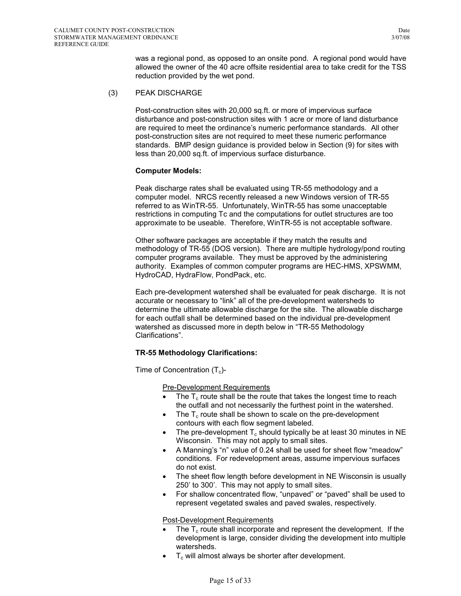was a regional pond, as opposed to an onsite pond. A regional pond would have allowed the owner of the 40 acre offsite residential area to take credit for the TSS reduction provided by the wet pond.

#### (3) PEAK DISCHARGE

Post-construction sites with 20,000 sq.ft. or more of impervious surface disturbance and post-construction sites with 1 acre or more of land disturbance are required to meet the ordinance's numeric performance standards. All other post-construction sites are not required to meet these numeric performance standards. BMP design guidance is provided below in Section (9) for sites with less than 20,000 sq.ft. of impervious surface disturbance.

## **Computer Models:**

Peak discharge rates shall be evaluated using TR-55 methodology and a computer model. NRCS recently released a new Windows version of TR-55 referred to as WinTR-55. Unfortunately, WinTR-55 has some unacceptable restrictions in computing Tc and the computations for outlet structures are too approximate to be useable. Therefore, WinTR-55 is not acceptable software.

Other software packages are acceptable if they match the results and methodology of TR-55 (DOS version). There are multiple hydrology/pond routing computer programs available. They must be approved by the administering authority. Examples of common computer programs are HEC-HMS, XPSWMM, HydroCAD, HydraFlow, PondPack, etc.

Each pre-development watershed shall be evaluated for peak discharge. It is not accurate or necessary to "link" all of the pre-development watersheds to determine the ultimate allowable discharge for the site. The allowable discharge for each outfall shall be determined based on the individual pre-development watershed as discussed more in depth below in "TR-55 Methodology Clarifications".

## **TR-55 Methodology Clarifications:**

Time of Concentration  $(T_c)$ -

Pre-Development Requirements

- The  $T_c$  route shall be the route that takes the longest time to reach the outfall and not necessarily the furthest point in the watershed.
- The  $T_c$  route shall be shown to scale on the pre-development contours with each flow segment labeled.
- The pre-development  $T_c$  should typically be at least 30 minutes in NE Wisconsin. This may not apply to small sites.
- A Manning's "n" value of 0.24 shall be used for sheet flow "meadow" conditions. For redevelopment areas, assume impervious surfaces do not exist.
- The sheet flow length before development in NE Wisconsin is usually 250' to 300'. This may not apply to small sites.
- For shallow concentrated flow, "unpaved" or "paved" shall be used to represent vegetated swales and paved swales, respectively.

#### Post-Development Requirements

- The  $T_c$  route shall incorporate and represent the development. If the development is large, consider dividing the development into multiple watersheds.
- $T_c$  will almost always be shorter after development.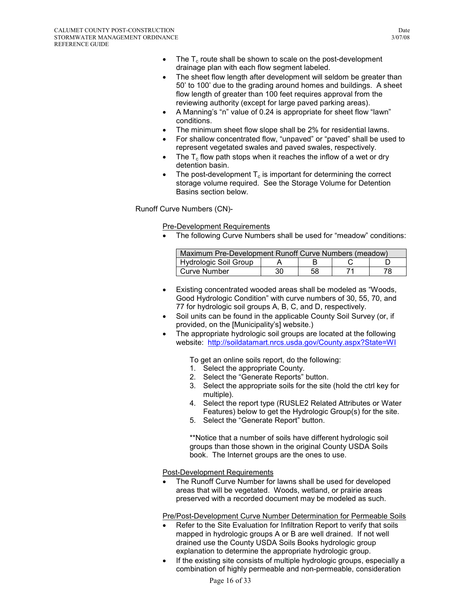- The  $T_c$  route shall be shown to scale on the post-development drainage plan with each flow segment labeled.
- The sheet flow length after development will seldom be greater than 50' to 100' due to the grading around homes and buildings. A sheet flow length of greater than 100 feet requires approval from the reviewing authority (except for large paved parking areas).
- A Manning's "n" value of 0.24 is appropriate for sheet flow "lawn" conditions.
- The minimum sheet flow slope shall be 2% for residential lawns.
- For shallow concentrated flow, "unpaved" or "paved" shall be used to represent vegetated swales and paved swales, respectively.
- The  $T_c$  flow path stops when it reaches the inflow of a wet or dry detention basin.
- The post-development  $T_c$  is important for determining the correct storage volume required. See the Storage Volume for Detention Basins section below.

## Runoff Curve Numbers (CN)-

Pre-Development Requirements

• The following Curve Numbers shall be used for "meadow" conditions:

| Maximum Pre-Development Runoff Curve Numbers (meadow) |    |    |  |    |
|-------------------------------------------------------|----|----|--|----|
| Hydrologic Soil Group                                 |    |    |  |    |
| Curve Number                                          | 30 | 58 |  | 78 |

- Existing concentrated wooded areas shall be modeled as "Woods, Good Hydrologic Condition" with curve numbers of 30, 55, 70, and 77 for hydrologic soil groups A, B, C, and D, respectively.
- Soil units can be found in the applicable County Soil Survey (or, if provided, on the [Municipality's] website.)
- The appropriate hydrologic soil groups are located at the following website: http://soildatamart.nrcs.usda.gov/County.aspx?State=WI

To get an online soils report, do the following:

- 1. Select the appropriate County.
- 2. Select the "Generate Reports" button.
- 3. Select the appropriate soils for the site (hold the ctrl key for multiple).
- 4. Select the report type (RUSLE2 Related Attributes or Water Features) below to get the Hydrologic Group(s) for the site.
- 5. Select the "Generate Report" button.

\*\*Notice that a number of soils have different hydrologic soil groups than those shown in the original County USDA Soils book. The Internet groups are the ones to use.

#### Post-Development Requirements

The Runoff Curve Number for lawns shall be used for developed areas that will be vegetated. Woods, wetland, or prairie areas preserved with a recorded document may be modeled as such.

Pre/Post-Development Curve Number Determination for Permeable Soils

- Refer to the Site Evaluation for Infiltration Report to verify that soils mapped in hydrologic groups A or B are well drained. If not well drained use the County USDA Soils Books hydrologic group explanation to determine the appropriate hydrologic group.
- If the existing site consists of multiple hydrologic groups, especially a combination of highly permeable and non-permeable, consideration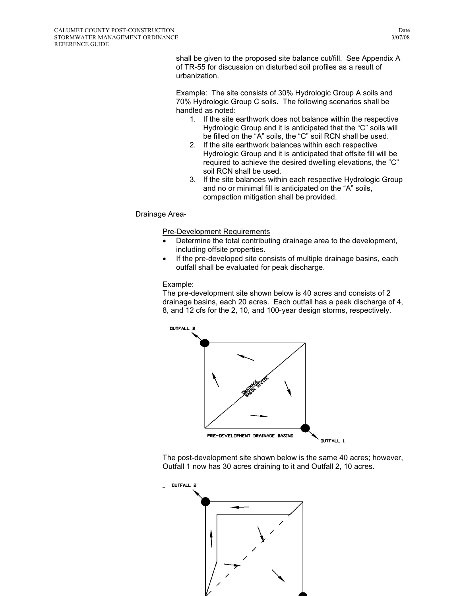shall be given to the proposed site balance cut/fill. See Appendix A of TR-55 for discussion on disturbed soil profiles as a result of urbanization.

Example: The site consists of 30% Hydrologic Group A soils and 70% Hydrologic Group C soils. The following scenarios shall be handled as noted:

- 1. If the site earthwork does not balance within the respective Hydrologic Group and it is anticipated that the "C" soils will be filled on the "A" soils, the "C" soil RCN shall be used.
- 2. If the site earthwork balances within each respective Hydrologic Group and it is anticipated that offsite fill will be required to achieve the desired dwelling elevations, the "C" soil RCN shall be used.
- 3. If the site balances within each respective Hydrologic Group and no or minimal fill is anticipated on the "A" soils, compaction mitigation shall be provided.

## Drainage Area-

Pre-Development Requirements

- Determine the total contributing drainage area to the development, including offsite properties.
- If the pre-developed site consists of multiple drainage basins, each outfall shall be evaluated for peak discharge.

#### Example:

The pre-development site shown below is 40 acres and consists of 2 drainage basins, each 20 acres. Each outfall has a peak discharge of 4, 8, and 12 cfs for the 2, 10, and 100-year design storms, respectively.



The post-development site shown below is the same 40 acres; however, Outfall 1 now has 30 acres draining to it and Outfall 2, 10 acres.

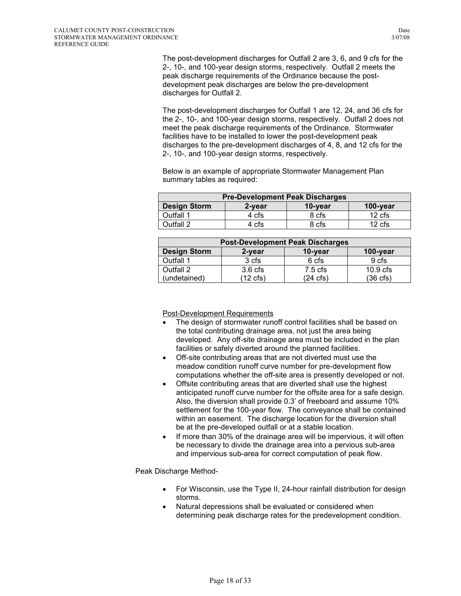The post-development discharges for Outfall 2 are 3, 6, and 9 cfs for the 2-, 10-, and 100-year design storms, respectively. Outfall 2 meets the peak discharge requirements of the Ordinance because the postdevelopment peak discharges are below the pre-development discharges for Outfall 2.

The post-development discharges for Outfall 1 are 12, 24, and 36 cfs for the 2-, 10-, and 100-year design storms, respectively. Outfall 2 does not meet the peak discharge requirements of the Ordinance. Stormwater facilities have to be installed to lower the post-development peak discharges to the pre-development discharges of 4, 8, and 12 cfs for the 2-, 10-, and 100-year design storms, respectively.

Below is an example of appropriate Stormwater Management Plan summary tables as required:

| <b>Pre-Development Peak Discharges</b>                  |       |       |                   |  |  |
|---------------------------------------------------------|-------|-------|-------------------|--|--|
| <b>Design Storm</b><br>$100$ -year<br>10-year<br>2-year |       |       |                   |  |  |
| Outfall 1                                               | 4 cfs | 8 cfs | $12 \text{ cfs}$  |  |  |
| Outfall 2                                               | 4 cfs | 8 cfs | 12 <sub>cfs</sub> |  |  |

| <b>Post-Development Peak Discharges</b>              |                    |                   |                    |  |  |  |
|------------------------------------------------------|--------------------|-------------------|--------------------|--|--|--|
| <b>Design Storm</b><br>10-year<br>100-year<br>2-year |                    |                   |                    |  |  |  |
| Outfall 1                                            | 3 cfs              | 6 cfs             | 9 cfs              |  |  |  |
| Outfall 2                                            | 3.6 <sub>cfs</sub> | $7.5 \text{ cfs}$ | $10.9$ cfs         |  |  |  |
| (undetained)                                         | (12 cfs)           | (24 cfs)          | $(36 \text{ cfs})$ |  |  |  |

Post-Development Requirements

- The design of stormwater runoff control facilities shall be based on the total contributing drainage area, not just the area being developed. Any off-site drainage area must be included in the plan facilities or safely diverted around the planned facilities.
- Off-site contributing areas that are not diverted must use the meadow condition runoff curve number for pre-development flow computations whether the off-site area is presently developed or not.
- Offsite contributing areas that are diverted shall use the highest anticipated runoff curve number for the offsite area for a safe design. Also, the diversion shall provide 0.3' of freeboard and assume 10% settlement for the 100-year flow. The conveyance shall be contained within an easement. The discharge location for the diversion shall be at the pre-developed outfall or at a stable location.
- If more than 30% of the drainage area will be impervious, it will often be necessary to divide the drainage area into a pervious sub-area and impervious sub-area for correct computation of peak flow.

Peak Discharge Method-

- For Wisconsin, use the Type II, 24-hour rainfall distribution for design storms.
- Natural depressions shall be evaluated or considered when determining peak discharge rates for the predevelopment condition.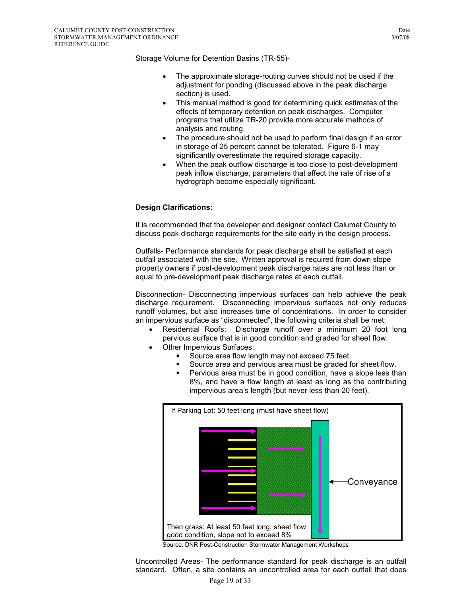Storage Volume for Detention Basins (TR-55)-

- The approximate storage-routing curves should not be used if the adjustment for ponding (discussed above in the peak discharge section) is used.
- This manual method is good for determining quick estimates of the effects of temporary detention on peak discharges. Computer programs that utilize TR-20 provide more accurate methods of analysis and routing.
- The procedure should not be used to perform final design if an error in storage of 25 percent cannot be tolerated. Figure 6-1 may significantly overestimate the required storage capacity.
- When the peak outflow discharge is too close to post-development peak inflow discharge, parameters that affect the rate of rise of a hydrograph become especially significant.

## **Design Clarifications:**

It is recommended that the developer and designer contact Calumet County to discuss peak discharge requirements for the site early in the design process.

Outfalls- Performance standards for peak discharge shall be satisfied at each outfall associated with the site. Written approval is required from down slope property owners if post-development peak discharge rates are not less than or equal to pre-development peak discharge rates at each outfall.

Disconnection- Disconnecting impervious surfaces can help achieve the peak discharge requirement. Disconnecting impervious surfaces not only reduces runoff volumes, but also increases time of concentrations. In order to consider an impervious surface as "disconnected", the following criteria shall be met:

- Residential Roofs: Discharge runoff over a minimum 20 foot long pervious surface that is in good condition and graded for sheet flow.
- Other Impervious Surfaces:
	- Source area flow length may not exceed 75 feet.
	- Source area and pervious area must be graded for sheet flow.
	- **Pervious area must be in good condition, have a slope less than** 8%, and have a flow length at least as long as the contributing impervious area's length (but never less than 20 feet).



Source: DNR Post-Construction Stormwater Management Workshops

Uncontrolled Areas- The performance standard for peak discharge is an outfall standard. Often, a site contains an uncontrolled area for each outfall that does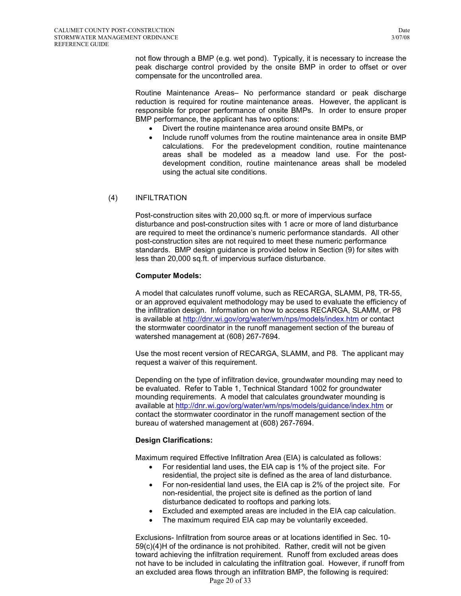not flow through a BMP (e.g. wet pond). Typically, it is necessary to increase the peak discharge control provided by the onsite BMP in order to offset or over compensate for the uncontrolled area.

Routine Maintenance Areas– No performance standard or peak discharge reduction is required for routine maintenance areas. However, the applicant is responsible for proper performance of onsite BMPs. In order to ensure proper BMP performance, the applicant has two options:

- Divert the routine maintenance area around onsite BMPs, or
- Include runoff volumes from the routine maintenance area in onsite BMP calculations. For the predevelopment condition, routine maintenance areas shall be modeled as a meadow land use. For the postdevelopment condition, routine maintenance areas shall be modeled using the actual site conditions.

#### (4) INFILTRATION

Post-construction sites with 20,000 sq.ft. or more of impervious surface disturbance and post-construction sites with 1 acre or more of land disturbance are required to meet the ordinance's numeric performance standards. All other post-construction sites are not required to meet these numeric performance standards. BMP design guidance is provided below in Section (9) for sites with less than 20,000 sq.ft. of impervious surface disturbance.

#### **Computer Models:**

A model that calculates runoff volume, such as RECARGA, SLAMM, P8, TR-55, or an approved equivalent methodology may be used to evaluate the efficiency of the infiltration design. Information on how to access RECARGA, SLAMM, or P8 is available at http://dnr.wi.gov/org/water/wm/nps/models/index.htm or contact the stormwater coordinator in the runoff management section of the bureau of watershed management at (608) 267-7694.

Use the most recent version of RECARGA, SLAMM, and P8. The applicant may request a waiver of this requirement.

Depending on the type of infiltration device, groundwater mounding may need to be evaluated. Refer to Table 1, Technical Standard 1002 for groundwater mounding requirements. A model that calculates groundwater mounding is available at http://dnr.wi.gov/org/water/wm/nps/models/guidance/index.htm or contact the stormwater coordinator in the runoff management section of the bureau of watershed management at (608) 267-7694.

#### **Design Clarifications:**

Maximum required Effective Infiltration Area (EIA) is calculated as follows:

- For residential land uses, the EIA cap is 1% of the project site. For residential, the project site is defined as the area of land disturbance.
- For non-residential land uses, the EIA cap is 2% of the project site. For non-residential, the project site is defined as the portion of land disturbance dedicated to rooftops and parking lots.
- Excluded and exempted areas are included in the EIA cap calculation.
- The maximum required EIA cap may be voluntarily exceeded.

Page 20 of 33 Exclusions- Infiltration from source areas or at locations identified in Sec. 10- 59(c)(4)H of the ordinance is not prohibited. Rather, credit will not be given toward achieving the infiltration requirement. Runoff from excluded areas does not have to be included in calculating the infiltration goal. However, if runoff from an excluded area flows through an infiltration BMP, the following is required: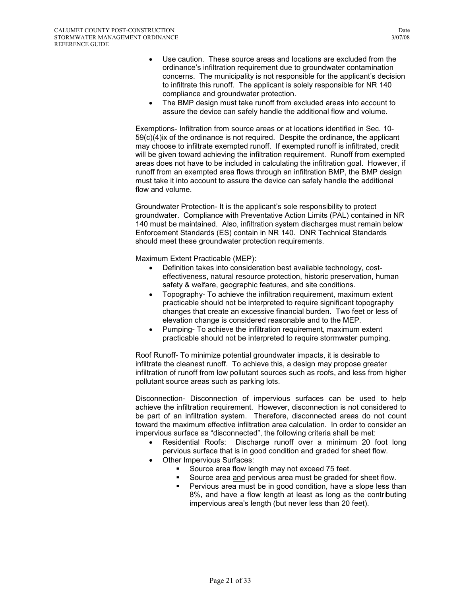- Use caution. These source areas and locations are excluded from the ordinance's infiltration requirement due to groundwater contamination concerns. The municipality is not responsible for the applicant's decision to infiltrate this runoff. The applicant is solely responsible for NR 140 compliance and groundwater protection.
- The BMP design must take runoff from excluded areas into account to assure the device can safely handle the additional flow and volume.

Exemptions- Infiltration from source areas or at locations identified in Sec. 10- 59(c)(4)ix of the ordinance is not required. Despite the ordinance, the applicant may choose to infiltrate exempted runoff. If exempted runoff is infiltrated, credit will be given toward achieving the infiltration requirement. Runoff from exempted areas does not have to be included in calculating the infiltration goal. However, if runoff from an exempted area flows through an infiltration BMP, the BMP design must take it into account to assure the device can safely handle the additional flow and volume.

Groundwater Protection- It is the applicant's sole responsibility to protect groundwater. Compliance with Preventative Action Limits (PAL) contained in NR 140 must be maintained. Also, infiltration system discharges must remain below Enforcement Standards (ES) contain in NR 140. DNR Technical Standards should meet these groundwater protection requirements.

Maximum Extent Practicable (MEP):

- Definition takes into consideration best available technology, costeffectiveness, natural resource protection, historic preservation, human safety & welfare, geographic features, and site conditions.
- Topography- To achieve the infiltration requirement, maximum extent practicable should not be interpreted to require significant topography changes that create an excessive financial burden. Two feet or less of elevation change is considered reasonable and to the MEP.
- Pumping- To achieve the infiltration requirement, maximum extent practicable should not be interpreted to require stormwater pumping.

Roof Runoff- To minimize potential groundwater impacts, it is desirable to infiltrate the cleanest runoff. To achieve this, a design may propose greater infiltration of runoff from low pollutant sources such as roofs, and less from higher pollutant source areas such as parking lots.

Disconnection- Disconnection of impervious surfaces can be used to help achieve the infiltration requirement. However, disconnection is not considered to be part of an infiltration system. Therefore, disconnected areas do not count toward the maximum effective infiltration area calculation. In order to consider an impervious surface as "disconnected", the following criteria shall be met:

- Residential Roofs: Discharge runoff over a minimum 20 foot long pervious surface that is in good condition and graded for sheet flow.
- Other Impervious Surfaces:
	- Source area flow length may not exceed 75 feet.
	- Source area and pervious area must be graded for sheet flow.
	- **Pervious area must be in good condition, have a slope less than** 8%, and have a flow length at least as long as the contributing impervious area's length (but never less than 20 feet).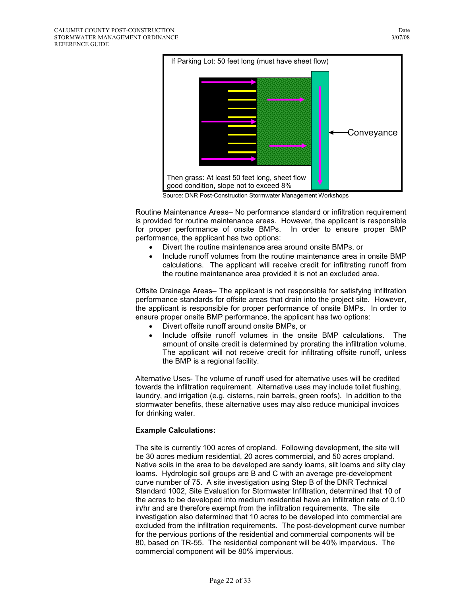

Source: DNR Post-Construction Stormwater Management Workshops

Routine Maintenance Areas– No performance standard or infiltration requirement is provided for routine maintenance areas. However, the applicant is responsible for proper performance of onsite BMPs. In order to ensure proper BMP performance, the applicant has two options:

- Divert the routine maintenance area around onsite BMPs, or
- Include runoff volumes from the routine maintenance area in onsite BMP calculations. The applicant will receive credit for infiltrating runoff from the routine maintenance area provided it is not an excluded area.

Offsite Drainage Areas– The applicant is not responsible for satisfying infiltration performance standards for offsite areas that drain into the project site. However, the applicant is responsible for proper performance of onsite BMPs. In order to ensure proper onsite BMP performance, the applicant has two options:

- Divert offsite runoff around onsite BMPs, or
- Include offsite runoff volumes in the onsite BMP calculations. The amount of onsite credit is determined by prorating the infiltration volume. The applicant will not receive credit for infiltrating offsite runoff, unless the BMP is a regional facility.

Alternative Uses- The volume of runoff used for alternative uses will be credited towards the infiltration requirement. Alternative uses may include toilet flushing, laundry, and irrigation (e.g. cisterns, rain barrels, green roofs). In addition to the stormwater benefits, these alternative uses may also reduce municipal invoices for drinking water.

#### **Example Calculations:**

The site is currently 100 acres of cropland. Following development, the site will be 30 acres medium residential, 20 acres commercial, and 50 acres cropland. Native soils in the area to be developed are sandy loams, silt loams and silty clay loams. Hydrologic soil groups are B and C with an average pre-development curve number of 75. A site investigation using Step B of the DNR Technical Standard 1002, Site Evaluation for Stormwater Infiltration, determined that 10 of the acres to be developed into medium residential have an infiltration rate of 0.10 in/hr and are therefore exempt from the infiltration requirements. The site investigation also determined that 10 acres to be developed into commercial are excluded from the infiltration requirements. The post-development curve number for the pervious portions of the residential and commercial components will be 80, based on TR-55. The residential component will be 40% impervious. The commercial component will be 80% impervious.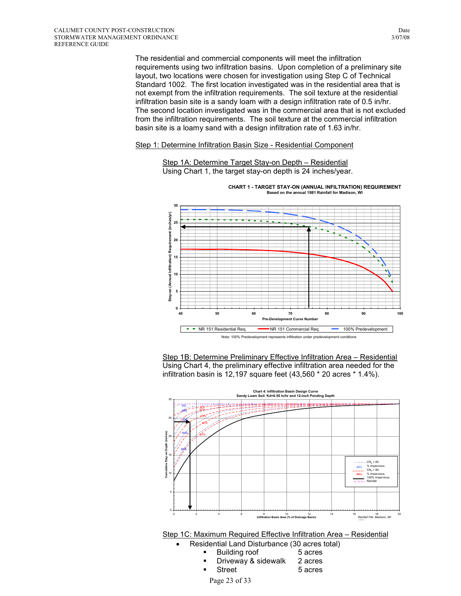The residential and commercial components will meet the infiltration requirements using two infiltration basins. Upon completion of a preliminary site layout, two locations were chosen for investigation using Step C of Technical Standard 1002. The first location investigated was in the residential area that is not exempt from the infiltration requirements. The soil texture at the residential infiltration basin site is a sandy loam with a design infiltration rate of 0.5 in/hr. The second location investigated was in the commercial area that is not excluded from the infiltration requirements. The soil texture at the commercial infiltration basin site is a loamy sand with a design infiltration rate of 1.63 in/hr.

#### Step 1: Determine Infiltration Basin Size - Residential Component



 Step 1A: Determine Target Stay-on Depth – Residential Using Chart 1, the target stay-on depth is 24 inches/year.

Step 1B: Determine Preliminary Effective Infiltration Area – Residential Using Chart 4, the preliminary effective infiltration area needed for the infiltration basin is 12,197 square feet (43,560 \* 20 acres \* 1.4%).

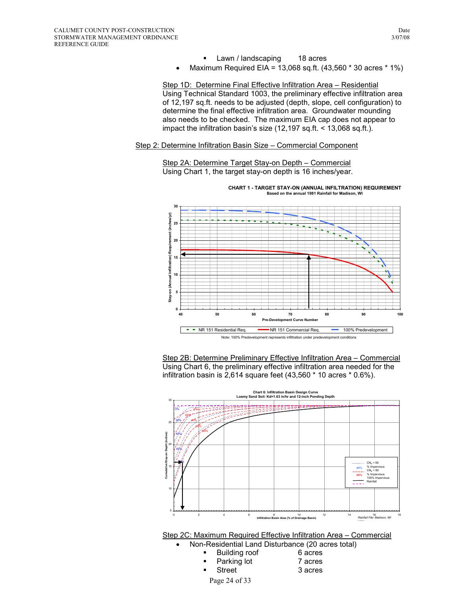- **Lawn / landscaping 18 acres**
- Maximum Required EIA = 13,068 sq.ft.  $(43,560 * 30 \text{ acres} * 1\%)$

Step 1D: Determine Final Effective Infiltration Area – Residential Using Technical Standard 1003, the preliminary effective infiltration area of 12,197 sq.ft. needs to be adjusted (depth, slope, cell configuration) to determine the final effective infiltration area. Groundwater mounding also needs to be checked. The maximum EIA cap does not appear to impact the infiltration basin's size (12,197 sq.ft. < 13,068 sq.ft.).

#### Step 2: Determine Infiltration Basin Size – Commercial Component

Step 2A: Determine Target Stay-on Depth – Commercial Using Chart 1, the target stay-on depth is 16 inches/year.



Step 2B: Determine Preliminary Effective Infiltration Area – Commercial Using Chart 6, the preliminary effective infiltration area needed for the infiltration basin is 2,614 square feet (43,560 \* 10 acres \* 0.6%).



Page 24 of 33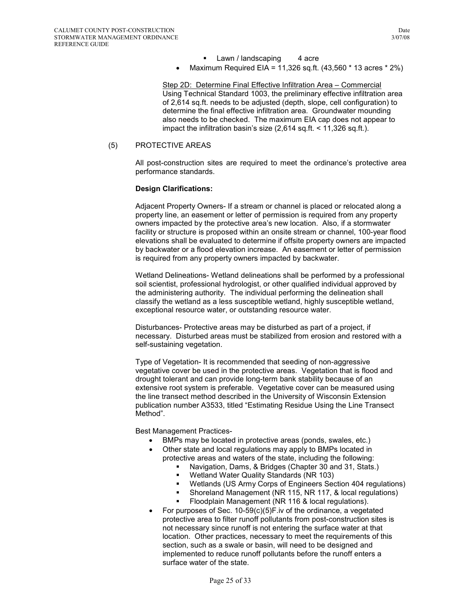- Lawn / landscaping 4 acre
- Maximum Required EIA = 11,326 sq.ft. (43,560 \* 13 acres \* 2%)

Step 2D: Determine Final Effective Infiltration Area – Commercial Using Technical Standard 1003, the preliminary effective infiltration area of 2,614 sq.ft. needs to be adjusted (depth, slope, cell configuration) to determine the final effective infiltration area. Groundwater mounding also needs to be checked. The maximum EIA cap does not appear to impact the infiltration basin's size (2,614 sq.ft. < 11,326 sq.ft.).

#### (5) PROTECTIVE AREAS

All post-construction sites are required to meet the ordinance's protective area performance standards.

#### **Design Clarifications:**

Adjacent Property Owners- If a stream or channel is placed or relocated along a property line, an easement or letter of permission is required from any property owners impacted by the protective area's new location. Also, if a stormwater facility or structure is proposed within an onsite stream or channel, 100-year flood elevations shall be evaluated to determine if offsite property owners are impacted by backwater or a flood elevation increase. An easement or letter of permission is required from any property owners impacted by backwater.

Wetland Delineations- Wetland delineations shall be performed by a professional soil scientist, professional hydrologist, or other qualified individual approved by the administering authority. The individual performing the delineation shall classify the wetland as a less susceptible wetland, highly susceptible wetland, exceptional resource water, or outstanding resource water.

Disturbances- Protective areas may be disturbed as part of a project, if necessary. Disturbed areas must be stabilized from erosion and restored with a self-sustaining vegetation.

Type of Vegetation- It is recommended that seeding of non-aggressive vegetative cover be used in the protective areas. Vegetation that is flood and drought tolerant and can provide long-term bank stability because of an extensive root system is preferable. Vegetative cover can be measured using the line transect method described in the University of Wisconsin Extension publication number A3533, titled "Estimating Residue Using the Line Transect Method".

Best Management Practices-

- BMPs may be located in protective areas (ponds, swales, etc.)
- Other state and local regulations may apply to BMPs located in protective areas and waters of the state, including the following:
	- Navigation, Dams, & Bridges (Chapter 30 and 31, Stats.)
	- Wetland Water Quality Standards (NR 103)
	- Wetlands (US Army Corps of Engineers Section 404 regulations)
	- Shoreland Management (NR 115, NR 117, & local regulations)
	- Floodplain Management (NR 116 & local regulations).
- For purposes of Sec. 10-59(c)(5)F.iv of the ordinance, a vegetated protective area to filter runoff pollutants from post-construction sites is not necessary since runoff is not entering the surface water at that location. Other practices, necessary to meet the requirements of this section, such as a swale or basin, will need to be designed and implemented to reduce runoff pollutants before the runoff enters a surface water of the state.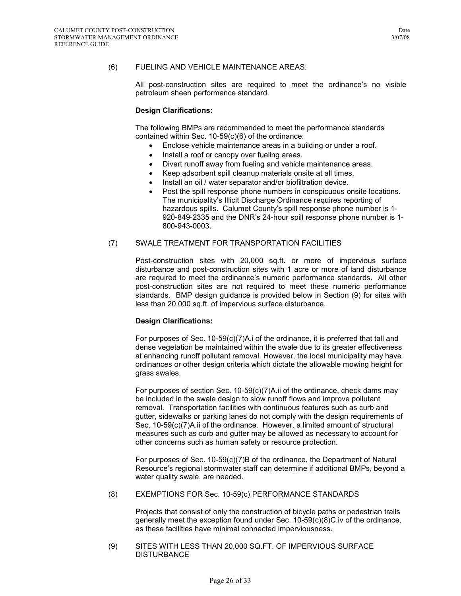#### (6) FUELING AND VEHICLE MAINTENANCE AREAS:

All post-construction sites are required to meet the ordinance's no visible petroleum sheen performance standard.

#### **Design Clarifications:**

The following BMPs are recommended to meet the performance standards contained within Sec. 10-59(c)(6) of the ordinance:

- Enclose vehicle maintenance areas in a building or under a roof.
- Install a roof or canopy over fueling areas.
- Divert runoff away from fueling and vehicle maintenance areas.
- Keep adsorbent spill cleanup materials onsite at all times.
- Install an oil / water separator and/or biofiltration device.
- Post the spill response phone numbers in conspicuous onsite locations. The municipality's Illicit Discharge Ordinance requires reporting of hazardous spills. Calumet County's spill response phone number is 1- 920-849-2335 and the DNR's 24-hour spill response phone number is 1- 800-943-0003.

#### (7) SWALE TREATMENT FOR TRANSPORTATION FACILITIES

Post-construction sites with 20,000 sq.ft. or more of impervious surface disturbance and post-construction sites with 1 acre or more of land disturbance are required to meet the ordinance's numeric performance standards. All other post-construction sites are not required to meet these numeric performance standards. BMP design guidance is provided below in Section (9) for sites with less than 20,000 sq.ft. of impervious surface disturbance.

#### **Design Clarifications:**

For purposes of Sec. 10-59(c)(7)A.i of the ordinance, it is preferred that tall and dense vegetation be maintained within the swale due to its greater effectiveness at enhancing runoff pollutant removal. However, the local municipality may have ordinances or other design criteria which dictate the allowable mowing height for grass swales.

For purposes of section Sec. 10-59(c)(7)A.ii of the ordinance, check dams may be included in the swale design to slow runoff flows and improve pollutant removal. Transportation facilities with continuous features such as curb and gutter, sidewalks or parking lanes do not comply with the design requirements of Sec. 10-59(c)(7)A.ii of the ordinance. However, a limited amount of structural measures such as curb and gutter may be allowed as necessary to account for other concerns such as human safety or resource protection.

For purposes of Sec. 10-59(c)(7)B of the ordinance, the Department of Natural Resource's regional stormwater staff can determine if additional BMPs, beyond a water quality swale, are needed.

(8) EXEMPTIONS FOR Sec. 10-59(c) PERFORMANCE STANDARDS

Projects that consist of only the construction of bicycle paths or pedestrian trails generally meet the exception found under Sec. 10-59(c)(8)C.iv of the ordinance, as these facilities have minimal connected imperviousness.

(9) SITES WITH LESS THAN 20,000 SQ.FT. OF IMPERVIOUS SURFACE **DISTURBANCE**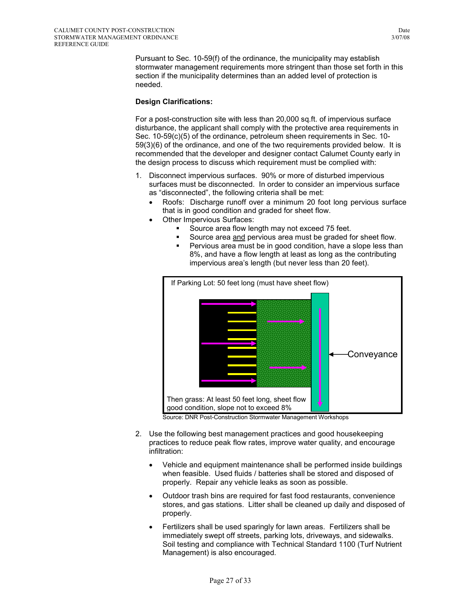Pursuant to Sec. 10-59(f) of the ordinance, the municipality may establish stormwater management requirements more stringent than those set forth in this section if the municipality determines than an added level of protection is needed.

## **Design Clarifications:**

For a post-construction site with less than 20,000 sq.ft. of impervious surface disturbance, the applicant shall comply with the protective area requirements in Sec. 10-59(c)(5) of the ordinance, petroleum sheen requirements in Sec. 10- 59(3)(6) of the ordinance, and one of the two requirements provided below. It is recommended that the developer and designer contact Calumet County early in the design process to discuss which requirement must be complied with:

- 1. Disconnect impervious surfaces. 90% or more of disturbed impervious surfaces must be disconnected. In order to consider an impervious surface as "disconnected", the following criteria shall be met:
	- Roofs: Discharge runoff over a minimum 20 foot long pervious surface that is in good condition and graded for sheet flow.
	- Other Impervious Surfaces:
		- Source area flow length may not exceed 75 feet.
		- Source area and pervious area must be graded for sheet flow.
		- **Pervious area must be in good condition, have a slope less than** 8%, and have a flow length at least as long as the contributing impervious area's length (but never less than 20 feet).



Source: DNR Post-Construction Stormwater Management Workshops

- 2. Use the following best management practices and good housekeeping practices to reduce peak flow rates, improve water quality, and encourage infiltration:
	- Vehicle and equipment maintenance shall be performed inside buildings when feasible. Used fluids / batteries shall be stored and disposed of properly. Repair any vehicle leaks as soon as possible.
	- Outdoor trash bins are required for fast food restaurants, convenience stores, and gas stations. Litter shall be cleaned up daily and disposed of properly.
	- Fertilizers shall be used sparingly for lawn areas. Fertilizers shall be immediately swept off streets, parking lots, driveways, and sidewalks. Soil testing and compliance with Technical Standard 1100 (Turf Nutrient Management) is also encouraged.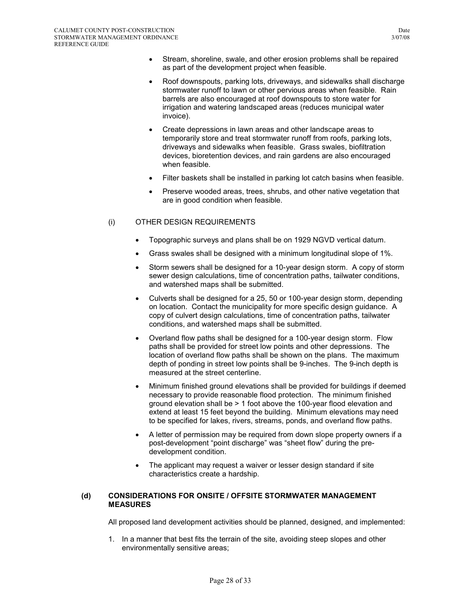- Stream, shoreline, swale, and other erosion problems shall be repaired as part of the development project when feasible.
- Roof downspouts, parking lots, driveways, and sidewalks shall discharge stormwater runoff to lawn or other pervious areas when feasible. Rain barrels are also encouraged at roof downspouts to store water for irrigation and watering landscaped areas (reduces municipal water invoice).
- Create depressions in lawn areas and other landscape areas to temporarily store and treat stormwater runoff from roofs, parking lots, driveways and sidewalks when feasible. Grass swales, biofiltration devices, bioretention devices, and rain gardens are also encouraged when feasible.
- Filter baskets shall be installed in parking lot catch basins when feasible.
- Preserve wooded areas, trees, shrubs, and other native vegetation that are in good condition when feasible.

## (i) OTHER DESIGN REQUIREMENTS

- Topographic surveys and plans shall be on 1929 NGVD vertical datum.
- Grass swales shall be designed with a minimum longitudinal slope of 1%.
- Storm sewers shall be designed for a 10-year design storm. A copy of storm sewer design calculations, time of concentration paths, tailwater conditions, and watershed maps shall be submitted.
- Culverts shall be designed for a 25, 50 or 100-year design storm, depending on location. Contact the municipality for more specific design guidance. A copy of culvert design calculations, time of concentration paths, tailwater conditions, and watershed maps shall be submitted.
- Overland flow paths shall be designed for a 100-year design storm. Flow paths shall be provided for street low points and other depressions. The location of overland flow paths shall be shown on the plans. The maximum depth of ponding in street low points shall be 9-inches. The 9-inch depth is measured at the street centerline.
- Minimum finished ground elevations shall be provided for buildings if deemed necessary to provide reasonable flood protection. The minimum finished ground elevation shall be > 1 foot above the 100-year flood elevation and extend at least 15 feet beyond the building. Minimum elevations may need to be specified for lakes, rivers, streams, ponds, and overland flow paths.
- A letter of permission may be required from down slope property owners if a post-development "point discharge" was "sheet flow" during the predevelopment condition.
- The applicant may request a waiver or lesser design standard if site characteristics create a hardship.

#### **(d) CONSIDERATIONS FOR ONSITE / OFFSITE STORMWATER MANAGEMENT MEASURES**

All proposed land development activities should be planned, designed, and implemented:

1. In a manner that best fits the terrain of the site, avoiding steep slopes and other environmentally sensitive areas;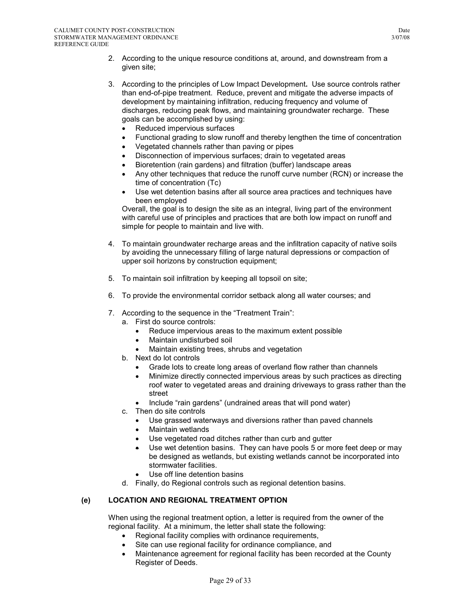- 2. According to the unique resource conditions at, around, and downstream from a given site;
- 3. According to the principles of Low Impact Development**.** Use source controls rather than end-of-pipe treatment. Reduce, prevent and mitigate the adverse impacts of development by maintaining infiltration, reducing frequency and volume of discharges, reducing peak flows, and maintaining groundwater recharge. These goals can be accomplished by using:
	- Reduced impervious surfaces
	- Functional grading to slow runoff and thereby lengthen the time of concentration
	- Vegetated channels rather than paving or pipes
	- Disconnection of impervious surfaces; drain to vegetated areas
	- Bioretention (rain gardens) and filtration (buffer) landscape areas
	- Any other techniques that reduce the runoff curve number (RCN) or increase the time of concentration (Tc)
	- Use wet detention basins after all source area practices and techniques have been employed

Overall, the goal is to design the site as an integral, living part of the environment with careful use of principles and practices that are both low impact on runoff and simple for people to maintain and live with.

- 4. To maintain groundwater recharge areas and the infiltration capacity of native soils by avoiding the unnecessary filling of large natural depressions or compaction of upper soil horizons by construction equipment;
- 5. To maintain soil infiltration by keeping all topsoil on site;
- 6. To provide the environmental corridor setback along all water courses; and
- 7. According to the sequence in the "Treatment Train":
	- a. First do source controls:
		- Reduce impervious areas to the maximum extent possible
		- Maintain undisturbed soil
		- Maintain existing trees, shrubs and vegetation
	- b. Next do lot controls
		- Grade lots to create long areas of overland flow rather than channels
		- Minimize directly connected impervious areas by such practices as directing roof water to vegetated areas and draining driveways to grass rather than the street
		- Include "rain gardens" (undrained areas that will pond water)
	- c. Then do site controls
		- Use grassed waterways and diversions rather than paved channels
		- Maintain wetlands
		- Use vegetated road ditches rather than curb and gutter
		- Use wet detention basins. They can have pools 5 or more feet deep or may be designed as wetlands, but existing wetlands cannot be incorporated into stormwater facilities.
		- Use off line detention basins
	- d. Finally, do Regional controls such as regional detention basins.

## **(e) LOCATION AND REGIONAL TREATMENT OPTION**

When using the regional treatment option, a letter is required from the owner of the regional facility. At a minimum, the letter shall state the following:

- Regional facility complies with ordinance requirements,
- Site can use regional facility for ordinance compliance, and
- Maintenance agreement for regional facility has been recorded at the County Register of Deeds.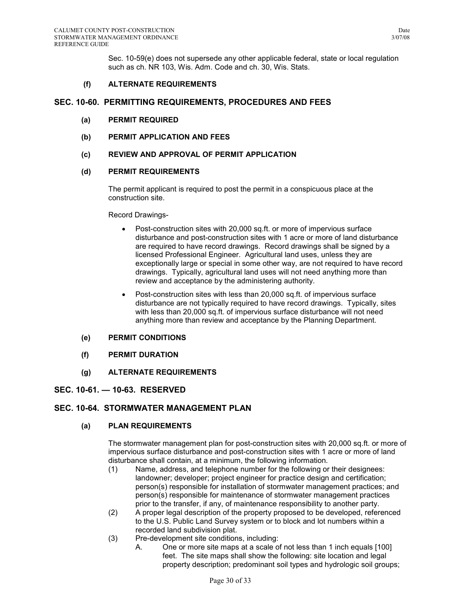Sec. 10-59(e) does not supersede any other applicable federal, state or local regulation such as ch. NR 103, Wis. Adm. Code and ch. 30, Wis. Stats.

## **(f) ALTERNATE REQUIREMENTS**

## **SEC. 10-60. PERMITTING REQUIREMENTS, PROCEDURES AND FEES**

- **(a) PERMIT REQUIRED**
- **(b) PERMIT APPLICATION AND FEES**
- **(c) REVIEW AND APPROVAL OF PERMIT APPLICATION**

#### **(d) PERMIT REQUIREMENTS**

The permit applicant is required to post the permit in a conspicuous place at the construction site.

#### Record Drawings-

- Post-construction sites with 20,000 sq.ft. or more of impervious surface disturbance and post-construction sites with 1 acre or more of land disturbance are required to have record drawings. Record drawings shall be signed by a licensed Professional Engineer. Agricultural land uses, unless they are exceptionally large or special in some other way, are not required to have record drawings. Typically, agricultural land uses will not need anything more than review and acceptance by the administering authority.
- Post-construction sites with less than 20,000 sq.ft. of impervious surface disturbance are not typically required to have record drawings. Typically, sites with less than 20,000 sq.ft. of impervious surface disturbance will not need anything more than review and acceptance by the Planning Department.

#### **(e) PERMIT CONDITIONS**

- **(f) PERMIT DURATION**
- **(g) ALTERNATE REQUIREMENTS**

## **SEC. 10-61. — 10-63. RESERVED**

## **SEC. 10-64. STORMWATER MANAGEMENT PLAN**

#### **(a) PLAN REQUIREMENTS**

The stormwater management plan for post-construction sites with 20,000 sq.ft. or more of impervious surface disturbance and post-construction sites with 1 acre or more of land disturbance shall contain, at a minimum, the following information.

- (1) Name, address, and telephone number for the following or their designees: landowner; developer; project engineer for practice design and certification; person(s) responsible for installation of stormwater management practices; and person(s) responsible for maintenance of stormwater management practices prior to the transfer, if any, of maintenance responsibility to another party.
- (2) A proper legal description of the property proposed to be developed, referenced to the U.S. Public Land Survey system or to block and lot numbers within a recorded land subdivision plat.
- (3) Pre-development site conditions, including:
	- A. One or more site maps at a scale of not less than 1 inch equals [100] feet. The site maps shall show the following: site location and legal property description; predominant soil types and hydrologic soil groups;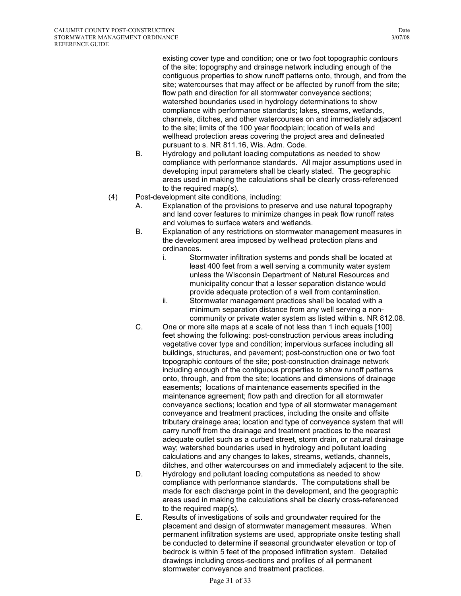existing cover type and condition; one or two foot topographic contours of the site; topography and drainage network including enough of the contiguous properties to show runoff patterns onto, through, and from the site; watercourses that may affect or be affected by runoff from the site; flow path and direction for all stormwater conveyance sections; watershed boundaries used in hydrology determinations to show compliance with performance standards; lakes, streams, wetlands, channels, ditches, and other watercourses on and immediately adjacent to the site; limits of the 100 year floodplain; location of wells and wellhead protection areas covering the project area and delineated pursuant to s. NR 811.16, Wis. Adm. Code.

- B. Hydrology and pollutant loading computations as needed to show compliance with performance standards. All major assumptions used in developing input parameters shall be clearly stated. The geographic areas used in making the calculations shall be clearly cross-referenced to the required map(s).
- (4) Post-development site conditions, including:
	- A. Explanation of the provisions to preserve and use natural topography and land cover features to minimize changes in peak flow runoff rates and volumes to surface waters and wetlands.
	- B. Explanation of any restrictions on stormwater management measures in the development area imposed by wellhead protection plans and ordinances.
		- i. Stormwater infiltration systems and ponds shall be located at least 400 feet from a well serving a community water system unless the Wisconsin Department of Natural Resources and municipality concur that a lesser separation distance would provide adequate protection of a well from contamination.
		- ii. Stormwater management practices shall be located with a minimum separation distance from any well serving a noncommunity or private water system as listed within s. NR 812.08.
	- C. One or more site maps at a scale of not less than 1 inch equals [100] feet showing the following: post-construction pervious areas including vegetative cover type and condition; impervious surfaces including all buildings, structures, and pavement; post-construction one or two foot topographic contours of the site; post-construction drainage network including enough of the contiguous properties to show runoff patterns onto, through, and from the site; locations and dimensions of drainage easements; locations of maintenance easements specified in the maintenance agreement; flow path and direction for all stormwater conveyance sections; location and type of all stormwater management conveyance and treatment practices, including the onsite and offsite tributary drainage area; location and type of conveyance system that will carry runoff from the drainage and treatment practices to the nearest adequate outlet such as a curbed street, storm drain, or natural drainage way; watershed boundaries used in hydrology and pollutant loading calculations and any changes to lakes, streams, wetlands, channels, ditches, and other watercourses on and immediately adjacent to the site.
	- D. Hydrology and pollutant loading computations as needed to show compliance with performance standards. The computations shall be made for each discharge point in the development, and the geographic areas used in making the calculations shall be clearly cross-referenced to the required map(s).
	- E. Results of investigations of soils and groundwater required for the placement and design of stormwater management measures. When permanent infiltration systems are used, appropriate onsite testing shall be conducted to determine if seasonal groundwater elevation or top of bedrock is within 5 feet of the proposed infiltration system. Detailed drawings including cross-sections and profiles of all permanent stormwater conveyance and treatment practices.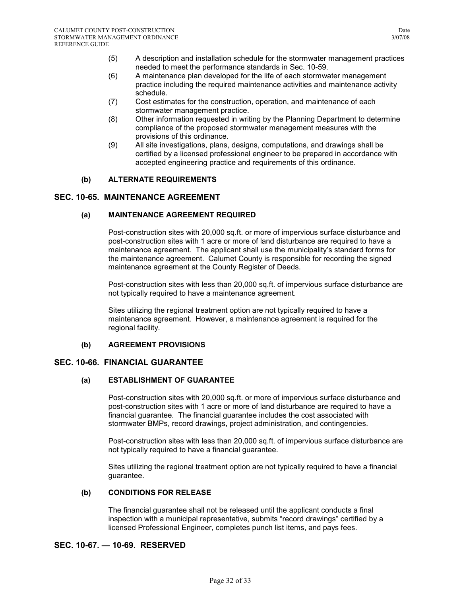- (5) A description and installation schedule for the stormwater management practices needed to meet the performance standards in Sec. 10-59.
- (6) A maintenance plan developed for the life of each stormwater management practice including the required maintenance activities and maintenance activity schedule.
- (7) Cost estimates for the construction, operation, and maintenance of each stormwater management practice.
- (8) Other information requested in writing by the Planning Department to determine compliance of the proposed stormwater management measures with the provisions of this ordinance.
- (9) All site investigations, plans, designs, computations, and drawings shall be certified by a licensed professional engineer to be prepared in accordance with accepted engineering practice and requirements of this ordinance.

## **(b) ALTERNATE REQUIREMENTS**

## **SEC. 10-65. MAINTENANCE AGREEMENT**

## **(a) MAINTENANCE AGREEMENT REQUIRED**

Post-construction sites with 20,000 sq.ft. or more of impervious surface disturbance and post-construction sites with 1 acre or more of land disturbance are required to have a maintenance agreement. The applicant shall use the municipality's standard forms for the maintenance agreement. Calumet County is responsible for recording the signed maintenance agreement at the County Register of Deeds.

Post-construction sites with less than 20,000 sq.ft. of impervious surface disturbance are not typically required to have a maintenance agreement.

Sites utilizing the regional treatment option are not typically required to have a maintenance agreement. However, a maintenance agreement is required for the regional facility.

## **(b) AGREEMENT PROVISIONS**

## **SEC. 10-66. FINANCIAL GUARANTEE**

## **(a) ESTABLISHMENT OF GUARANTEE**

Post-construction sites with 20,000 sq.ft. or more of impervious surface disturbance and post-construction sites with 1 acre or more of land disturbance are required to have a financial guarantee. The financial guarantee includes the cost associated with stormwater BMPs, record drawings, project administration, and contingencies.

Post-construction sites with less than 20,000 sq.ft. of impervious surface disturbance are not typically required to have a financial guarantee.

Sites utilizing the regional treatment option are not typically required to have a financial guarantee.

## **(b) CONDITIONS FOR RELEASE**

The financial guarantee shall not be released until the applicant conducts a final inspection with a municipal representative, submits "record drawings" certified by a licensed Professional Engineer, completes punch list items, and pays fees.

## **SEC. 10-67. — 10-69. RESERVED**